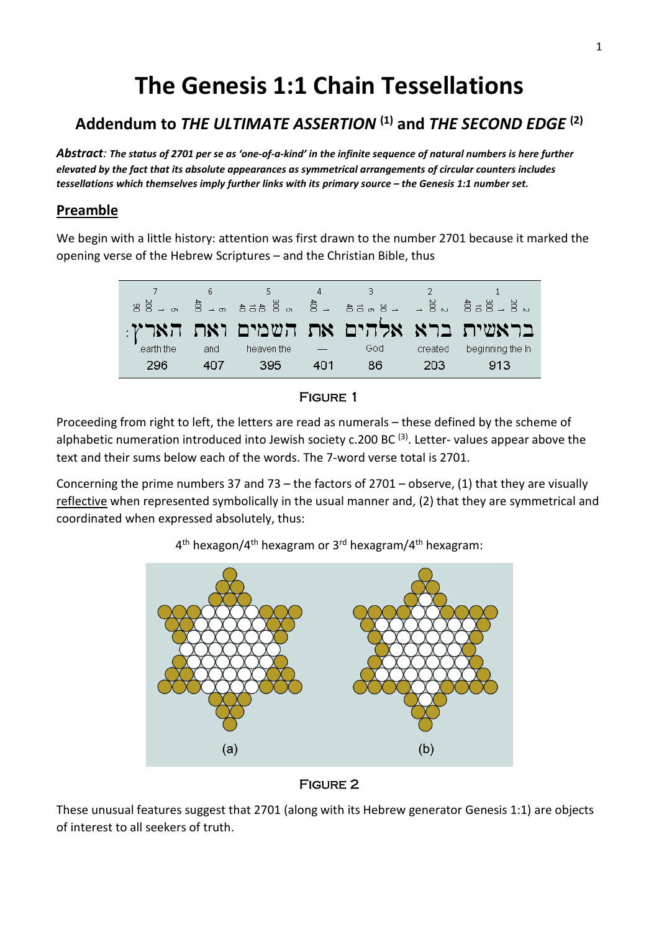# **The Genesis 1:1 Chain Tessellations**

# **Addendum to** *THE ULTIMATE ASSERTION* **(1) and** *THE SECOND EDGE* **(2)**

*Abstract: The status of 2701 per se as 'one-of-a-kind' in the infinite sequence of natural numbers is here further elevated by the fact that its absolute appearances as symmetrical arrangements of circular counters includes tessellations which themselves imply further links with its primary source – the Genesis 1:1 number set.*

# **Preamble**

We begin with a little history: attention was first drawn to the number 2701 because it marked the opening verse of the Hebrew Scriptures – and the Christian Bible, thus

| $88 - m$  |     |            |     |     |         | warang war zawa za waana wa hi      |
|-----------|-----|------------|-----|-----|---------|-------------------------------------|
|           |     |            |     |     |         | בראשית ברא אלהים את השמים ואת הארץ: |
| earth the | and | heaven the |     | God | created | beginning the In                    |
| 296       | 407 | 395        | 401 | 86  | 203     | 913                                 |

#### Figure 1

Proceeding from right to left, the letters are read as numerals – these defined by the scheme of alphabetic numeration introduced into Jewish society c.200 BC  $^{(3)}$ . Letter- values appear above the text and their sums below each of the words. The 7-word verse total is 2701.

Concerning the prime numbers 37 and 73 – the factors of 2701 – observe, (1) that they are visually reflective when represented symbolically in the usual manner and, (2) that they are symmetrical and coordinated when expressed absolutely, thus:

 $4<sup>th</sup>$  hexagon/4<sup>th</sup> hexagram or 3<sup>rd</sup> hexagram/4<sup>th</sup> hexagram:



#### Figure 2

These unusual features suggest that 2701 (along with its Hebrew generator Genesis 1:1) are objects of interest to all seekers of truth.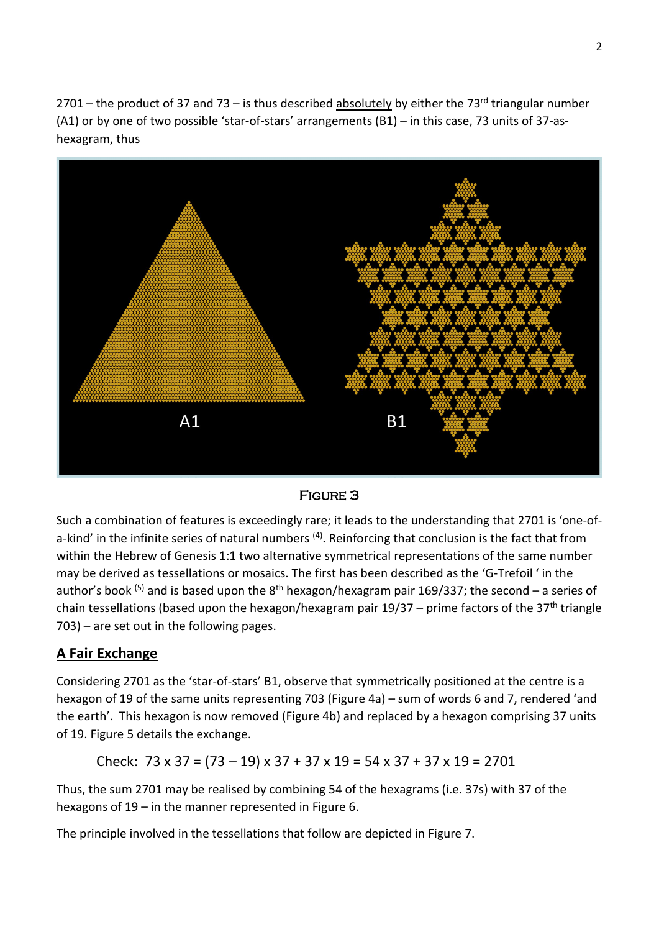2701 – the product of 37 and 73 – is thus described absolutely by either the 73<sup>rd</sup> triangular number (A1) or by one of two possible 'star-of-stars' arrangements (B1) – in this case, 73 units of 37-ashexagram, thus



#### Figure 3

Such a combination of features is exceedingly rare; it leads to the understanding that 2701 is 'one-ofa-kind' in the infinite series of natural numbers <sup>(4)</sup>. Reinforcing that conclusion is the fact that from within the Hebrew of Genesis 1:1 two alternative symmetrical representations of the same number may be derived as tessellations or mosaics. The first has been described as the 'G-Trefoil ' in the author's book <sup>(5)</sup> and is based upon the 8<sup>th</sup> hexagon/hexagram pair 169/337; the second – a series of chain tessellations (based upon the hexagon/hexagram pair  $19/37$  – prime factors of the  $37<sup>th</sup>$  triangle 703) – are set out in the following pages.

# **A Fair Exchange**

Considering 2701 as the 'star-of-stars' B1, observe that symmetrically positioned at the centre is a hexagon of 19 of the same units representing 703 (Figure 4a) – sum of words 6 and 7, rendered 'and the earth'. This hexagon is now removed (Figure 4b) and replaced by a hexagon comprising 37 units of 19. Figure 5 details the exchange.

Check: 73 x 37 = (73 – 19) x 37 + 37 x 19 = 54 x 37 + 37 x 19 = 2701

Thus, the sum 2701 may be realised by combining 54 of the hexagrams (i.e. 37s) with 37 of the hexagons of 19 – in the manner represented in Figure 6.

The principle involved in the tessellations that follow are depicted in Figure 7.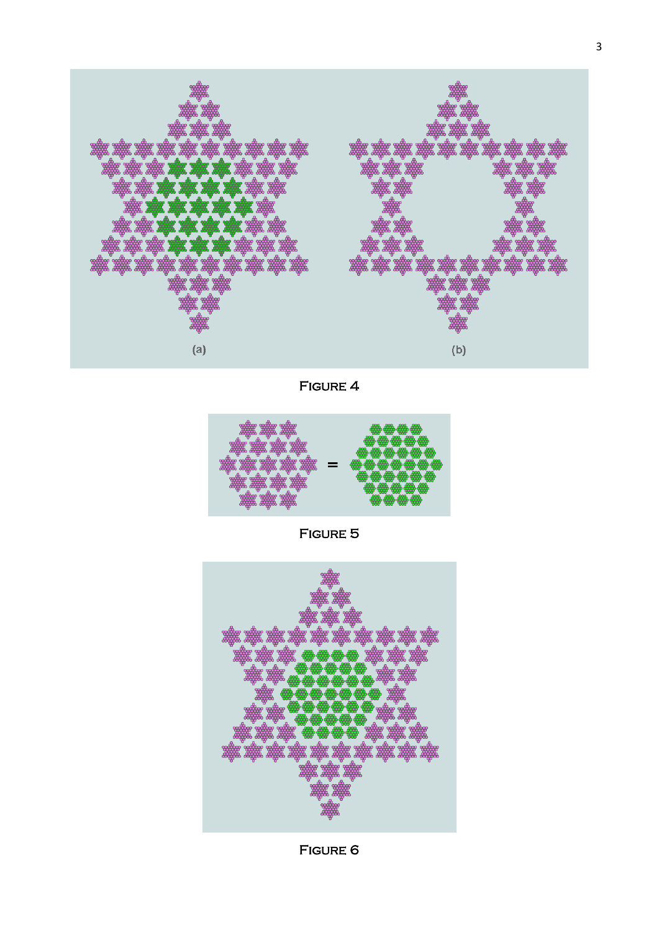

Figure 4



Figure 5



Figure 6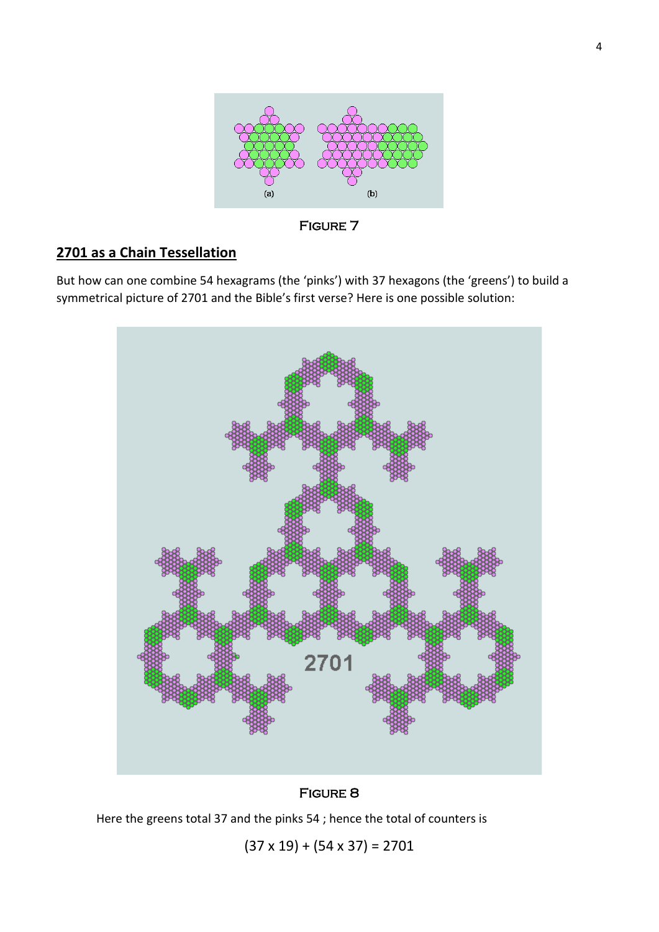

Figure 7

# **2701 as a Chain Tessellation**

But how can one combine 54 hexagrams (the 'pinks') with 37 hexagons (the 'greens') to build a symmetrical picture of 2701 and the Bible's first verse? Here is one possible solution:



#### Figure 8

Here the greens total 37 and the pinks 54 ; hence the total of counters is

 $(37 \times 19) + (54 \times 37) = 2701$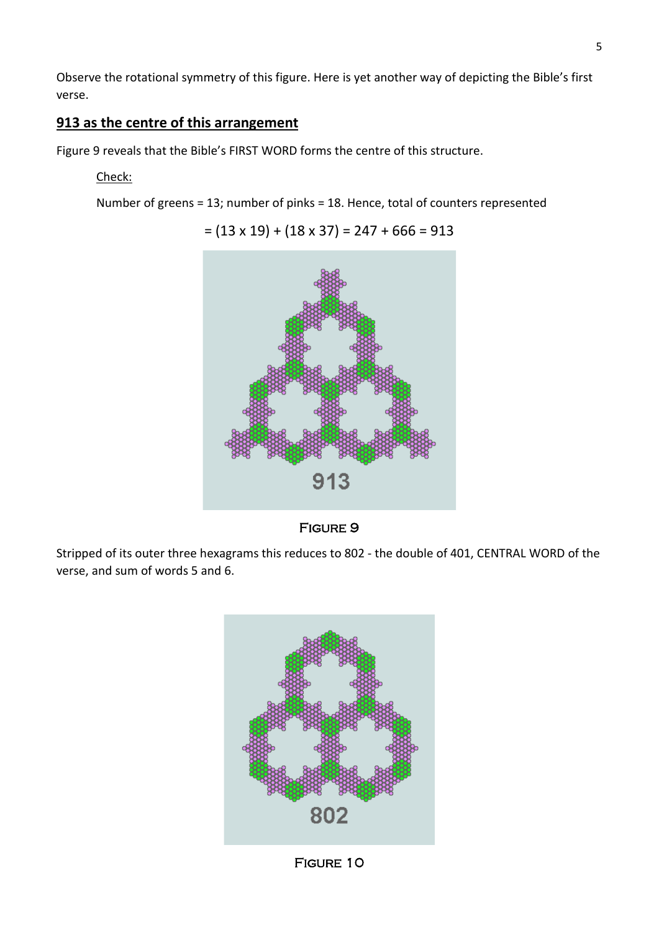Observe the rotational symmetry of this figure. Here is yet another way of depicting the Bible's first verse.

# **913 as the centre of this arrangement**

Figure 9 reveals that the Bible's FIRST WORD forms the centre of this structure.

# Check:

Number of greens = 13; number of pinks = 18. Hence, total of counters represented





#### Figure 9

Stripped of its outer three hexagrams this reduces to 802 - the double of 401, CENTRAL WORD of the verse, and sum of words 5 and 6.



Figure 10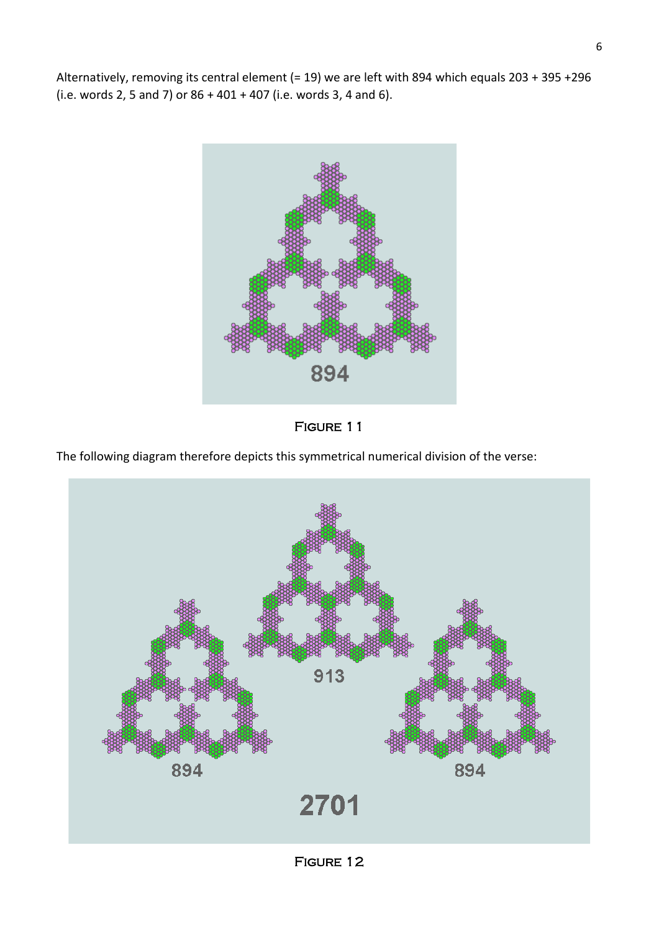Alternatively, removing its central element (= 19) we are left with 894 which equals 203 + 395 +296 (i.e. words 2, 5 and 7) or 86 + 401 + 407 (i.e. words 3, 4 and 6).





The following diagram therefore depicts this symmetrical numerical division of the verse:



FIGURE 12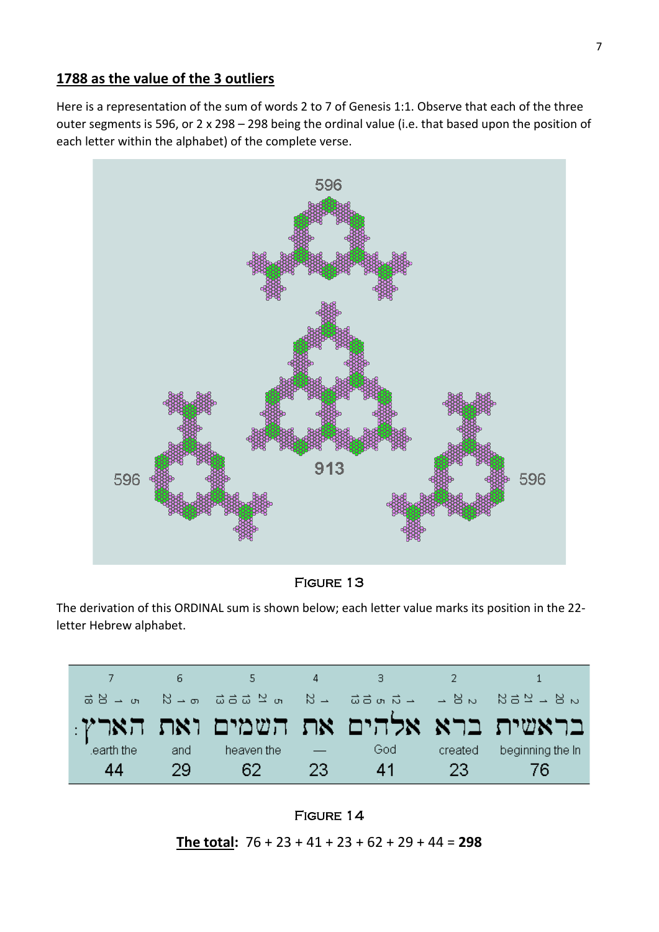### **1788 as the value of the 3 outliers**

Here is a representation of the sum of words 2 to 7 of Genesis 1:1. Observe that each of the three outer segments is 596, or 2 x 298 – 298 being the ordinal value (i.e. that based upon the position of each letter within the alphabet) of the complete verse.



Figure 13

The derivation of this ORDINAL sum is shown below; each letter value marks its position in the 22 letter Hebrew alphabet.

|            |     |            |       | - 3 | $\sim$ 2 |                                     |
|------------|-----|------------|-------|-----|----------|-------------------------------------|
|            |     |            |       |     |          |                                     |
|            |     |            |       |     |          | בראשית ברא אלהים את השמים ואת הארץ: |
| learth the | and | heaven the |       | God | created  | beginning the In                    |
| 44         | 29. | -62 -      | $-23$ | 41  | - 23     | -76                                 |



**The total:** 76 + 23 + 41 + 23 + 62 + 29 + 44 = **298**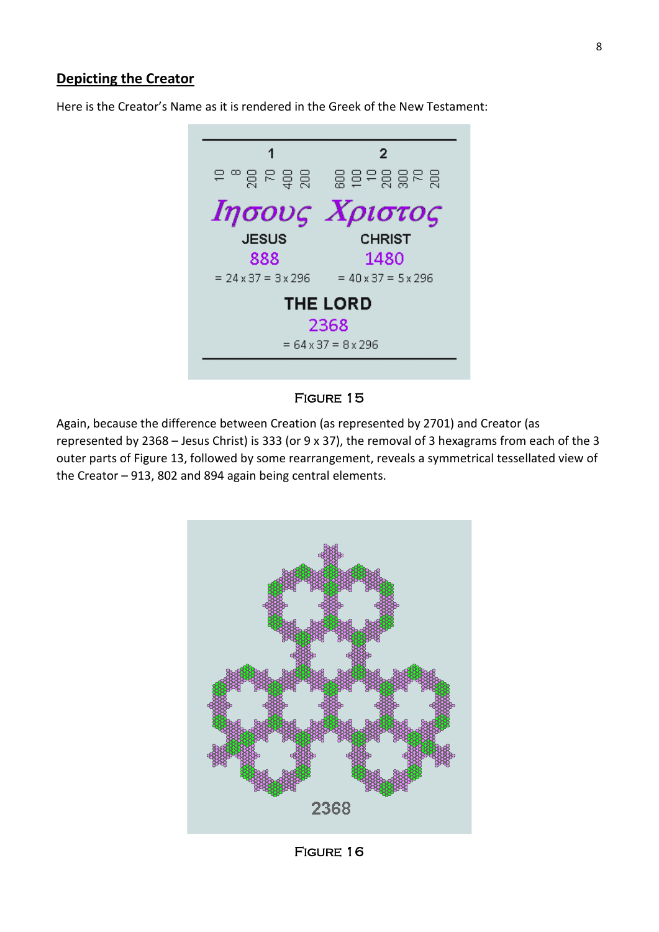## **Depicting the Creator**

Here is the Creator's Name as it is rendered in the Greek of the New Testament:



#### Figure 15

Again, because the difference between Creation (as represented by 2701) and Creator (as represented by 2368 – Jesus Christ) is 333 (or 9 x 37), the removal of 3 hexagrams from each of the 3 outer parts of Figure 13, followed by some rearrangement, reveals a symmetrical tessellated view of the Creator – 913, 802 and 894 again being central elements.

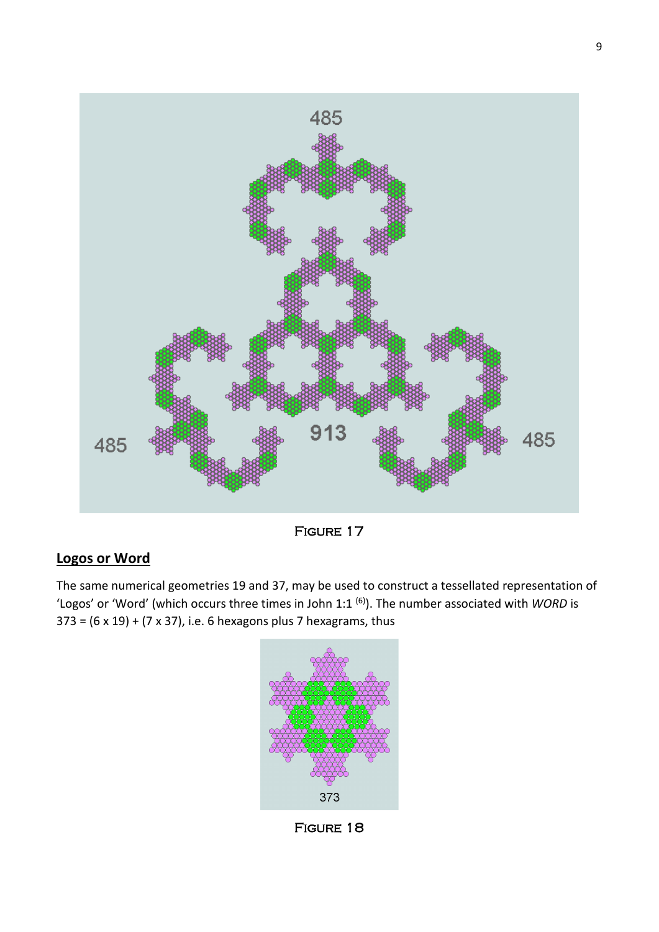

Figure 17

# **Logos or Word**

The same numerical geometries 19 and 37, may be used to construct a tessellated representation of 'Logos' or 'Word' (which occurs three times in John 1:1 (6) ). The number associated with *WORD* is  $373 = (6 \times 19) + (7 \times 37)$ , i.e. 6 hexagons plus 7 hexagrams, thus



Figure 18